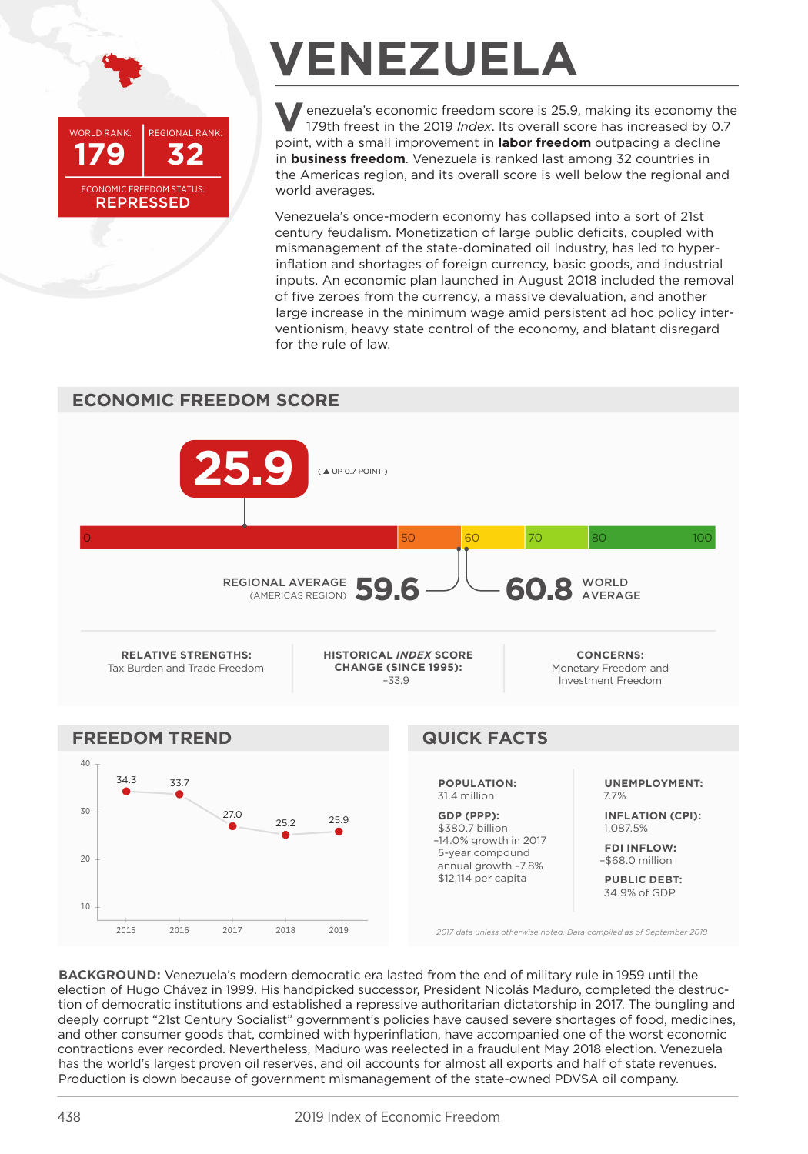WORLD RANK-**REGIONAL RANK:** 32 **FCONOMIC ERFEDOM STATUS: REPRESSED** 

## **VENEZUELA**

enezuela's economic freedom score is 25.9, making its economy the 179th freest in the 2019 Index. Its overall score has increased by 0.7 point, with a small improvement in labor freedom outpacing a decline in **business freedom**. Venezuela is ranked last among 32 countries in the Americas region, and its overall score is well below the regional and world averages.

Venezuela's once-modern economy has collapsed into a sort of 21st century feudalism. Monetization of large public deficits, coupled with mismanagement of the state-dominated oil industry, has led to hyperinflation and shortages of foreign currency, basic goods, and industrial inputs. An economic plan launched in August 2018 included the removal of five zeroes from the currency, a massive devaluation, and another large increase in the minimum wage amid persistent ad hoc policy interventionism, heavy state control of the economy, and blatant disregard for the rule of law.



BACKGROUND: Venezuela's modern democratic era lasted from the end of military rule in 1959 until the election of Hugo Chávez in 1999. His handpicked successor, President Nicolás Maduro, completed the destruction of democratic institutions and established a repressive authoritarian dictatorship in 2017. The bungling and deeply corrupt "21st Century Socialist" government's policies have caused severe shortages of food, medicines, and other consumer goods that, combined with hyperinflation, have accompanied one of the worst economic contractions ever recorded. Nevertheless, Maduro was reelected in a fraudulent May 2018 election. Venezuela has the world's largest proven oil reserves, and oil accounts for almost all exports and half of state revenues. Production is down because of government mismanagement of the state-owned PDVSA oil company.